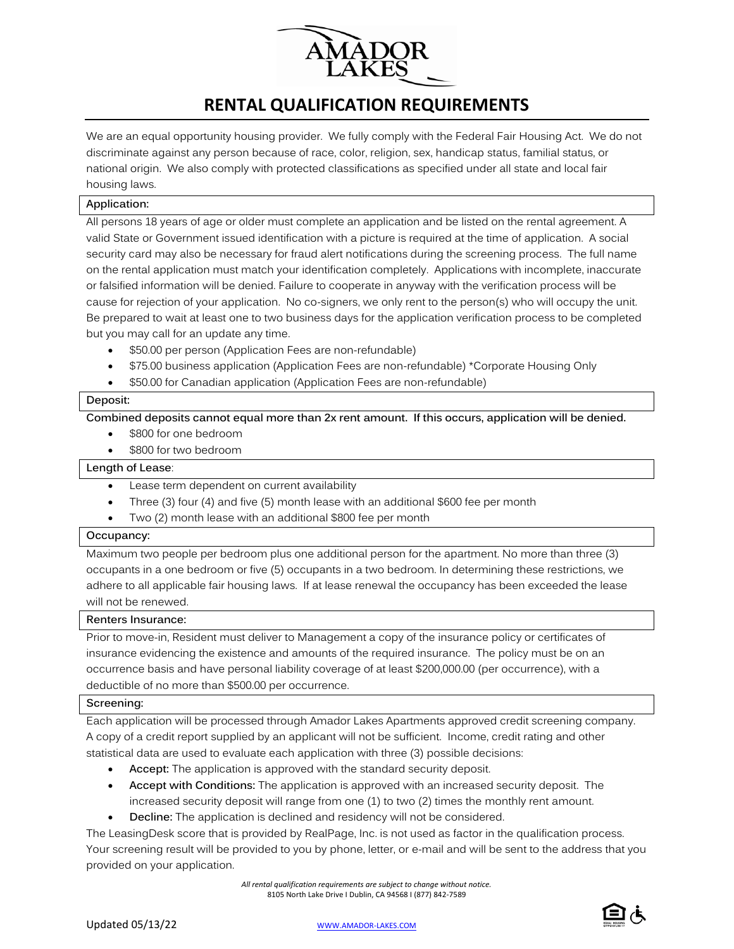

# **RENTAL QUALIFICATION REQUIREMENTS**

We are an equal opportunity housing provider. We fully comply with the Federal Fair Housing Act. We do not discriminate against any person because of race, color, religion, sex, handicap status, familial status, or national origin. We also comply with protected classifications as specified under all state and local fair housing laws.

## **Application:**

All persons 18 years of age or older must complete an application and be listed on the rental agreement. A valid State or Government issued identification with a picture is required at the time of application. A social security card may also be necessary for fraud alert notifications during the screening process. The full name on the rental application must match your identification completely. Applications with incomplete, inaccurate or falsified information will be denied. Failure to cooperate in anyway with the verification process will be cause for rejection of your application. No co-signers, we only rent to the person(s) who will occupy the unit. Be prepared to wait at least one to two business days for the application verification process to be completed but you may call for an update any time.

- \$50.00 per person (Application Fees are non-refundable)
- \$75.00 business application (Application Fees are non-refundable) \*Corporate Housing Only
- \$50.00 for Canadian application (Application Fees are non-refundable)

#### **Deposit:**

**Combined deposits cannot equal more than 2x rent amount. If this occurs, application will be denied.**

- \$800 for one bedroom
- \$800 for two bedroom

# **Length of Lease**:

- Lease term dependent on current availability
- Three (3) four (4) and five (5) month lease with an additional \$600 fee per month
- Two (2) month lease with an additional \$800 fee per month

#### **Occupancy:**

Maximum two people per bedroom plus one additional person for the apartment. No more than three (3) occupants in a one bedroom or five (5) occupants in a two bedroom. In determining these restrictions, we adhere to all applicable fair housing laws. If at lease renewal the occupancy has been exceeded the lease will not be renewed.

#### **Renters Insurance:**

Prior to move-in, Resident must deliver to Management a copy of the insurance policy or certificates of insurance evidencing the existence and amounts of the required insurance. The policy must be on an occurrence basis and have personal liability coverage of at least \$200,000.00 (per occurrence), with a deductible of no more than \$500.00 per occurrence.

#### **Screening:**

Each application will be processed through Amador Lakes Apartments approved credit screening company. A copy of a credit report supplied by an applicant will not be sufficient. Income, credit rating and other statistical data are used to evaluate each application with three (3) possible decisions:

- **Accept:** The application is approved with the standard security deposit.
- **Accept with Conditions:** The application is approved with an increased security deposit. The increased security deposit will range from one (1) to two (2) times the monthly rent amount.
- **Decline:** The application is declined and residency will not be considered.

The LeasingDesk score that is provided by RealPage, Inc. is not used as factor in the qualification process. Your screening result will be provided to you by phone, letter, or e-mail and will be sent to the address that you provided on your application.

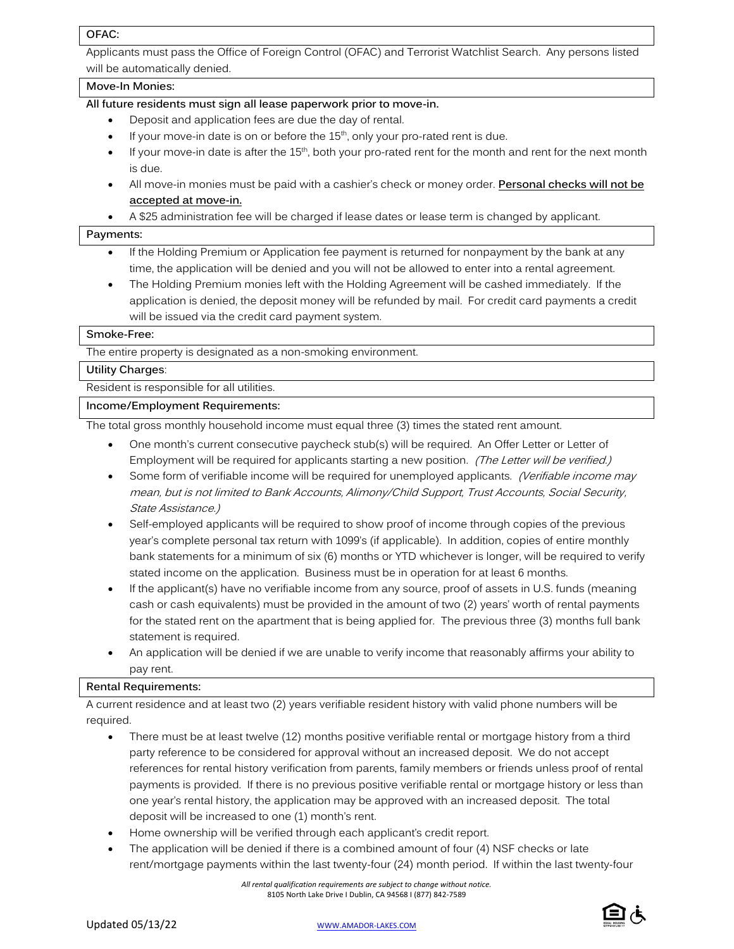## **OFAC:**

Applicants must pass the Office of Foreign Control (OFAC) and Terrorist Watchlist Search. Any persons listed will be automatically denied.

# **Move-In Monies:**

## **All future residents must sign all lease paperwork prior to move-in.**

- Deposit and application fees are due the day of rental.
- If your move-in date is on or before the  $15<sup>th</sup>$ , only your pro-rated rent is due.
- If your move-in date is after the  $15<sup>th</sup>$ , both your pro-rated rent for the month and rent for the next month is due.
- All move-in monies must be paid with a cashier's check or money order. **Personal checks will not be accepted at move-in.**

• A \$25 administration fee will be charged if lease dates or lease term is changed by applicant.

#### **Payments:**

- If the Holding Premium or Application fee payment is returned for nonpayment by the bank at any time, the application will be denied and you will not be allowed to enter into a rental agreement.
- The Holding Premium monies left with the Holding Agreement will be cashed immediately. If the application is denied, the deposit money will be refunded by mail. For credit card payments a credit will be issued via the credit card payment system.

## **Smoke-Free:**

The entire property is designated as a non-smoking environment.

## **Utility Charges**:

Resident is responsible for all utilities.

## **Income/Employment Requirements:**

The total gross monthly household income must equal three (3) times the stated rent amount.

- One month's current consecutive paycheck stub(s) will be required. An Offer Letter or Letter of Employment will be required for applicants starting a new position. (The Letter will be verified.)
- Some form of verifiable income will be required for unemployed applicants. (Verifiable income may mean, but is not limited to Bank Accounts, Alimony/Child Support, Trust Accounts, Social Security, State Assistance.)
- Self-employed applicants will be required to show proof of income through copies of the previous year's complete personal tax return with 1099's (if applicable). In addition, copies of entire monthly bank statements for a minimum of six (6) months or YTD whichever is longer, will be required to verify stated income on the application. Business must be in operation for at least 6 months.
- If the applicant(s) have no verifiable income from any source, proof of assets in U.S. funds (meaning cash or cash equivalents) must be provided in the amount of two (2) years' worth of rental payments for the stated rent on the apartment that is being applied for. The previous three (3) months full bank statement is required.
- An application will be denied if we are unable to verify income that reasonably affirms your ability to pay rent.

# **Rental Requirements:**

A current residence and at least two (2) years verifiable resident history with valid phone numbers will be required.

- There must be at least twelve (12) months positive verifiable rental or mortgage history from a third party reference to be considered for approval without an increased deposit. We do not accept references for rental history verification from parents, family members or friends unless proof of rental payments is provided. If there is no previous positive verifiable rental or mortgage history or less than one year's rental history, the application may be approved with an increased deposit. The total deposit will be increased to one (1) month's rent.
- Home ownership will be verified through each applicant's credit report.
- The application will be denied if there is a combined amount of four (4) NSF checks or late rent/mortgage payments within the last twenty-four (24) month period. If within the last twenty-four



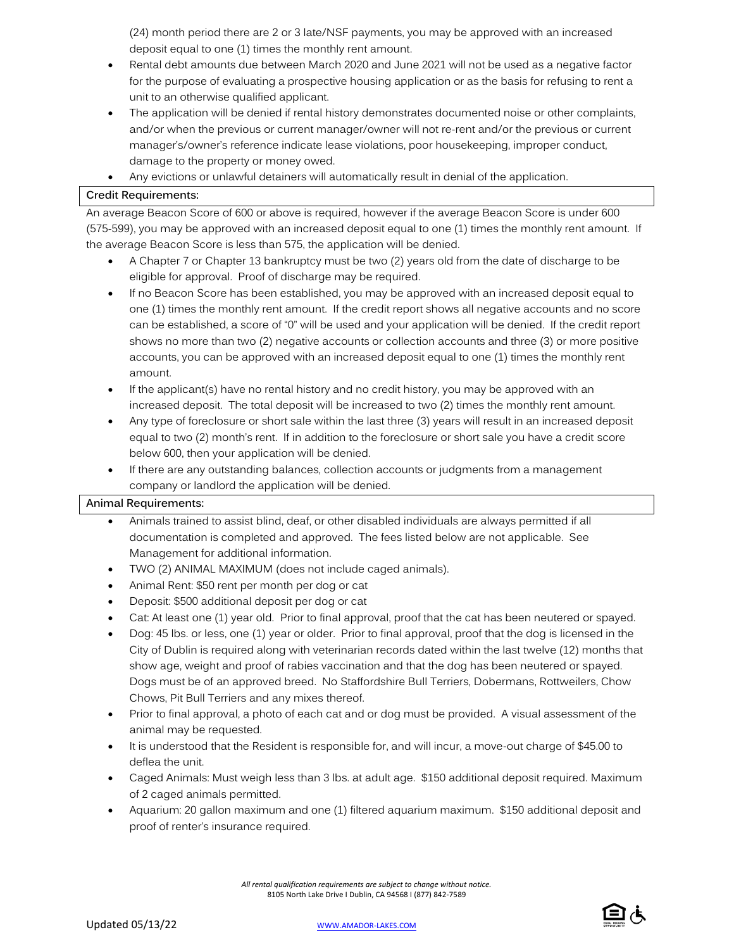(24) month period there are 2 or 3 late/NSF payments, you may be approved with an increased deposit equal to one (1) times the monthly rent amount.

- Rental debt amounts due between March 2020 and June 2021 will not be used as a negative factor for the purpose of evaluating a prospective housing application or as the basis for refusing to rent a unit to an otherwise qualified applicant.
- The application will be denied if rental history demonstrates documented noise or other complaints, and/or when the previous or current manager/owner will not re-rent and/or the previous or current manager's/owner's reference indicate lease violations, poor housekeeping, improper conduct, damage to the property or money owed.
- Any evictions or unlawful detainers will automatically result in denial of the application.

# **Credit Requirements:**

An average Beacon Score of 600 or above is required, however if the average Beacon Score is under 600 (575-599), you may be approved with an increased deposit equal to one (1) times the monthly rent amount. If the average Beacon Score is less than 575, the application will be denied.

- A Chapter 7 or Chapter 13 bankruptcy must be two (2) years old from the date of discharge to be eligible for approval. Proof of discharge may be required.
- If no Beacon Score has been established, you may be approved with an increased deposit equal to one (1) times the monthly rent amount. If the credit report shows all negative accounts and no score can be established, a score of "0" will be used and your application will be denied. If the credit report shows no more than two (2) negative accounts or collection accounts and three (3) or more positive accounts, you can be approved with an increased deposit equal to one (1) times the monthly rent amount.
- If the applicant(s) have no rental history and no credit history, you may be approved with an increased deposit. The total deposit will be increased to two (2) times the monthly rent amount.
- Any type of foreclosure or short sale within the last three (3) years will result in an increased deposit equal to two (2) month's rent. If in addition to the foreclosure or short sale you have a credit score below 600, then your application will be denied.
- If there are any outstanding balances, collection accounts or judgments from a management company or landlord the application will be denied.

#### **Animal Requirements:**

- Animals trained to assist blind, deaf, or other disabled individuals are always permitted if all documentation is completed and approved. The fees listed below are not applicable. See Management for additional information.
- TWO (2) ANIMAL MAXIMUM (does not include caged animals).
- Animal Rent: \$50 rent per month per dog or cat
- Deposit: \$500 additional deposit per dog or cat
- Cat: At least one (1) year old. Prior to final approval, proof that the cat has been neutered or spayed.
- Dog: 45 lbs. or less, one (1) year or older. Prior to final approval, proof that the dog is licensed in the City of Dublin is required along with veterinarian records dated within the last twelve (12) months that show age, weight and proof of rabies vaccination and that the dog has been neutered or spayed. Dogs must be of an approved breed. No Staffordshire Bull Terriers, Dobermans, Rottweilers, Chow Chows, Pit Bull Terriers and any mixes thereof.
- Prior to final approval, a photo of each cat and or dog must be provided. A visual assessment of the animal may be requested.
- It is understood that the Resident is responsible for, and will incur, a move-out charge of \$45.00 to deflea the unit.
- Caged Animals: Must weigh less than 3 lbs. at adult age. \$150 additional deposit required. Maximum of 2 caged animals permitted.
- Aquarium: 20 gallon maximum and one (1) filtered aquarium maximum. \$150 additional deposit and proof of renter's insurance required.